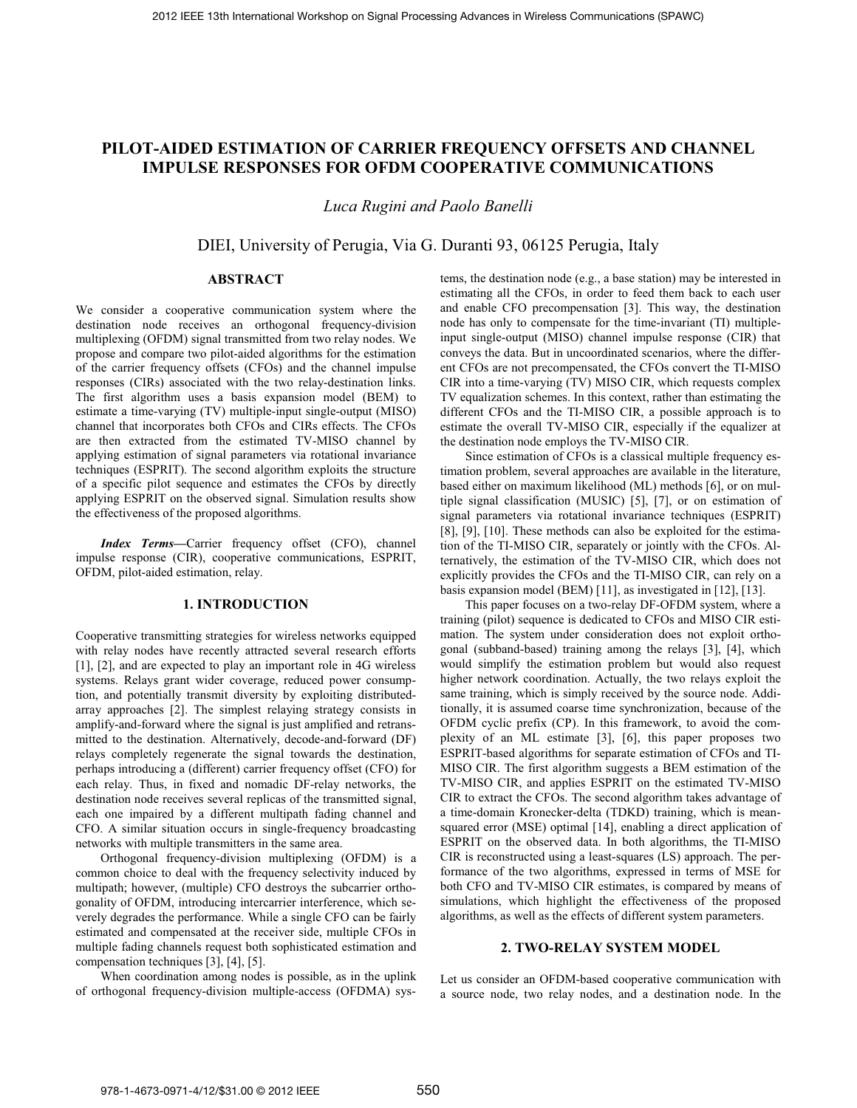# **PILOT-AIDED ESTIMATION OF CARRIER FREQUENCY OFFSETS AND CHANNEL IMPULSE RESPONSES FOR OFDM COOPERATIVE COMMUNICATIONS**

*Luca Rugini and Paolo Banelli* 

DIEI, University of Perugia, Via G. Duranti 93, 06125 Perugia, Italy

# **ABSTRACT**

We consider a cooperative communication system where the destination node receives an orthogonal frequency-division multiplexing (OFDM) signal transmitted from two relay nodes. We propose and compare two pilot-aided algorithms for the estimation of the carrier frequency offsets (CFOs) and the channel impulse responses (CIRs) associated with the two relay-destination links. The first algorithm uses a basis expansion model (BEM) to estimate a time-varying (TV) multiple-input single-output (MISO) channel that incorporates both CFOs and CIRs effects. The CFOs are then extracted from the estimated TV-MISO channel by applying estimation of signal parameters via rotational invariance techniques (ESPRIT). The second algorithm exploits the structure of a specific pilot sequence and estimates the CFOs by directly applying ESPRIT on the observed signal. Simulation results show the effectiveness of the proposed algorithms.

*Index Terms*—Carrier frequency offset (CFO), channel impulse response (CIR), cooperative communications, ESPRIT, OFDM, pilot-aided estimation, relay.

# **1. INTRODUCTION**

Cooperative transmitting strategies for wireless networks equipped with relay nodes have recently attracted several research efforts [1], [2], and are expected to play an important role in 4G wireless systems. Relays grant wider coverage, reduced power consumption, and potentially transmit diversity by exploiting distributedarray approaches [2]. The simplest relaying strategy consists in amplify-and-forward where the signal is just amplified and retransmitted to the destination. Alternatively, decode-and-forward (DF) relays completely regenerate the signal towards the destination, perhaps introducing a (different) carrier frequency offset (CFO) for each relay. Thus, in fixed and nomadic DF-relay networks, the destination node receives several replicas of the transmitted signal, each one impaired by a different multipath fading channel and CFO. A similar situation occurs in single-frequency broadcasting networks with multiple transmitters in the same area.

Orthogonal frequency-division multiplexing (OFDM) is a common choice to deal with the frequency selectivity induced by multipath; however, (multiple) CFO destroys the subcarrier orthogonality of OFDM, introducing intercarrier interference, which severely degrades the performance. While a single CFO can be fairly estimated and compensated at the receiver side, multiple CFOs in multiple fading channels request both sophisticated estimation and compensation techniques [3], [4], [5].

When coordination among nodes is possible, as in the uplink of orthogonal frequency-division multiple-access (OFDMA) systems, the destination node (e.g., a base station) may be interested in estimating all the CFOs, in order to feed them back to each user and enable CFO precompensation [3]. This way, the destination node has only to compensate for the time-invariant (TI) multipleinput single-output (MISO) channel impulse response (CIR) that conveys the data. But in uncoordinated scenarios, where the different CFOs are not precompensated, the CFOs convert the TI-MISO CIR into a time-varying (TV) MISO CIR, which requests complex TV equalization schemes. In this context, rather than estimating the different CFOs and the TI-MISO CIR, a possible approach is to estimate the overall TV-MISO CIR, especially if the equalizer at the destination node employs the TV-MISO CIR.

Since estimation of CFOs is a classical multiple frequency estimation problem, several approaches are available in the literature, based either on maximum likelihood (ML) methods [6], or on multiple signal classification (MUSIC) [5], [7], or on estimation of signal parameters via rotational invariance techniques (ESPRIT) [8], [9], [10]. These methods can also be exploited for the estimation of the TI-MISO CIR, separately or jointly with the CFOs. Alternatively, the estimation of the TV-MISO CIR, which does not explicitly provides the CFOs and the TI-MISO CIR, can rely on a basis expansion model (BEM) [11], as investigated in [12], [13].

This paper focuses on a two-relay DF-OFDM system, where a training (pilot) sequence is dedicated to CFOs and MISO CIR estimation. The system under consideration does not exploit orthogonal (subband-based) training among the relays [3], [4], which would simplify the estimation problem but would also request higher network coordination. Actually, the two relays exploit the same training, which is simply received by the source node. Additionally, it is assumed coarse time synchronization, because of the OFDM cyclic prefix (CP). In this framework, to avoid the complexity of an ML estimate [3], [6], this paper proposes two ESPRIT-based algorithms for separate estimation of CFOs and TI-MISO CIR. The first algorithm suggests a BEM estimation of the TV-MISO CIR, and applies ESPRIT on the estimated TV-MISO CIR to extract the CFOs. The second algorithm takes advantage of a time-domain Kronecker-delta (TDKD) training, which is meansquared error (MSE) optimal [14], enabling a direct application of ESPRIT on the observed data. In both algorithms, the TI-MISO CIR is reconstructed using a least-squares (LS) approach. The performance of the two algorithms, expressed in terms of MSE for both CFO and TV-MISO CIR estimates, is compared by means of simulations, which highlight the effectiveness of the proposed algorithms, as well as the effects of different system parameters.

# **2. TWO-RELAY SYSTEM MODEL**

Let us consider an OFDM-based cooperative communication with a source node, two relay nodes, and a destination node. In the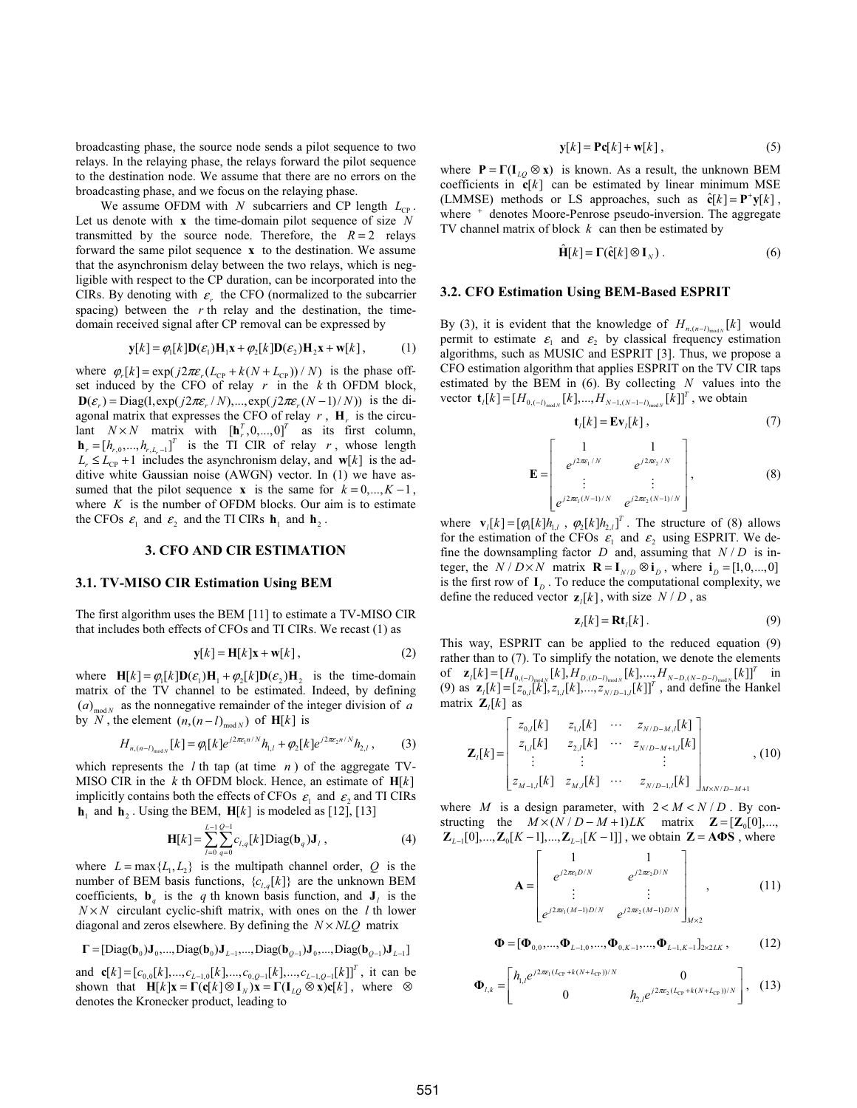broadcasting phase, the source node sends a pilot sequence to two relays. In the relaying phase, the relays forward the pilot sequence to the destination node. We assume that there are no errors on the broadcasting phase, and we focus on the relaying phase.

We assume OFDM with *N* subcarriers and CP length  $L_{CP}$ . Let us denote with **x** the time-domain pilot sequence of size *N* transmitted by the source node. Therefore, the  $R = 2$  relays forward the same pilot sequence **x** to the destination. We assume that the asynchronism delay between the two relays, which is negligible with respect to the CP duration, can be incorporated into the CIRs. By denoting with  $\varepsilon$  the CFO (normalized to the subcarrier spacing) between the  $r$  th relay and the destination, the timedomain received signal after CP removal can be expressed by

$$
\mathbf{y}[k] = \varphi_1[k]\mathbf{D}(\varepsilon_1)\mathbf{H}_1\mathbf{x} + \varphi_2[k]\mathbf{D}(\varepsilon_2)\mathbf{H}_2\mathbf{x} + \mathbf{w}[k],\tag{1}
$$

where  $\varphi_r[k] = \exp(j2\pi \varepsilon_r (L_{cp} + k(N + L_{cp})) / N)$  is the phase offset induced by the CFO of relay *r* in the *k* th OFDM block,  $\mathbf{D}(\mathcal{E}_r) = \text{Diag}(1, \exp(j2\pi \mathcal{E}_r/N), ..., \exp(j2\pi \mathcal{E}_r(N-1)/N))$  is the diagonal matrix that expresses the CFO of relay  $r$ ,  $H_r$  is the circulant  $N \times N$  matrix with  $[\mathbf{h}_r^T, 0, ..., 0]^T$  as its first column,  $\mathbf{h}_r = [h_{r,0},...,h_{r,L_r-1}]^T$  is the TI CIR of relay *r*, whose length  $L_r \leq L_{\rm CP} + 1$  includes the asynchronism delay, and **w**[k] is the additive white Gaussian noise (AWGN) vector. In (1) we have assumed that the pilot sequence **x** is the same for  $k = 0, ..., K - 1$ , where  $K$  is the number of OFDM blocks. Our aim is to estimate the CFOs  $\varepsilon_1$  and  $\varepsilon_2$  and the TI CIRs  $\mathbf{h}_1$  and  $\mathbf{h}_2$ .

### **3. CFO AND CIR ESTIMATION**

### **3.1. TV-MISO CIR Estimation Using BEM**

The first algorithm uses the BEM [11] to estimate a TV-MISO CIR that includes both effects of CFOs and TI CIRs. We recast (1) as

$$
\mathbf{y}[k] = \mathbf{H}[k]\mathbf{x} + \mathbf{w}[k],\tag{2}
$$

where  $H[k] = \varphi_1[k]D(\varepsilon_1)H_1 + \varphi_2[k]D(\varepsilon_2)H_2$ , is the time-domain matrix of the TV channel to be estimated. Indeed, by defining  $(a)$ <sub>mod *N*</sub> as the nonnegative remainder of the integer division of *a* by *N*, the element  $(n, (n-l)_{\text{mod }N})$  of **H**[ $k$ ] is

$$
H_{n,(n-l)_{\text{mod }N}}[k] = \varphi_1[k]e^{j2\pi\varepsilon_1 n/N}h_{1,l} + \varphi_2[k]e^{j2\pi\varepsilon_2 n/N}h_{2,l}, \qquad (3)
$$

which represents the *l* th tap (at time *n* ) of the aggregate TV-MISO CIR in the  $k$  th OFDM block. Hence, an estimate of  $H[k]$ implicitly contains both the effects of CFOs  $\varepsilon_1$  and  $\varepsilon_2$  and TI CIRs **h**<sub>1</sub> and **h**<sub>2</sub>. Using the BEM,  $H[k]$  is modeled as [12], [13]

$$
\mathbf{H}[k] = \sum_{l=0}^{L-1} \sum_{q=0}^{Q-1} c_{l,q}[k] \text{Diag}(\mathbf{b}_q) \mathbf{J}_l ,
$$
 (4)

where  $L = \max\{L_1, L_2\}$  is the multipath channel order, Q is the number of BEM basis functions,  ${c_{i,q}[k]}$  are the unknown BEM coefficients,  $\mathbf{b}_q$  is the *q* th known basis function, and **J** is the  $N \times N$  circulant cyclic-shift matrix, with ones on the *l* th lower diagonal and zeros elsewhere. By defining the  $N \times NLQ$  matrix

$$
\Gamma = [\text{Diag}(\mathbf{b}_0) \mathbf{J}_0, ..., \text{Diag}(\mathbf{b}_0) \mathbf{J}_{L-1}, ..., \text{Diag}(\mathbf{b}_{Q-1}) \mathbf{J}_0, ..., \text{Diag}(\mathbf{b}_{Q-1}) \mathbf{J}_{L-1}]
$$

and  $\mathbf{c}[k] = [c_{0,0}[k],...,c_{L-1,0}[k],...,c_{0,Q-1}[k],...,c_{L-1,Q-1}[k]]^T$ , it can be shown that  $\mathbf{H}[k] \mathbf{x} = \Gamma(\mathbf{c}[k] \otimes \mathbf{I}_N) \mathbf{x} = \Gamma(\mathbf{I}_{LQ} \otimes \mathbf{x}) \mathbf{c}[k]$ , where  $\otimes$ denotes the Kronecker product, leading to

$$
\mathbf{y}[k] = \mathbf{P}\mathbf{c}[k] + \mathbf{w}[k],\tag{5}
$$

where  $P = \Gamma(I_{LQ} \otimes x)$  is known. As a result, the unknown BEM coefficients in  $\mathbf{c}[k]$  can be estimated by linear minimum MSE (LMMSE) methods or LS approaches, such as  $\hat{\mathbf{c}}[k] = \mathbf{P}^+ \mathbf{y}[k]$ , where <sup>+</sup> denotes Moore-Penrose pseudo-inversion. The aggregate TV channel matrix of block *k* can then be estimated by

$$
\hat{\mathbf{H}}[k] = \Gamma(\hat{\mathbf{c}}[k] \otimes \mathbf{I}_N) . \tag{6}
$$

## **3.2. CFO Estimation Using BEM-Based ESPRIT**

By (3), it is evident that the knowledge of  $H_{n,(n-l)_{\text{mod }N}}[k]$  would permit to estimate  $\varepsilon_1$  and  $\varepsilon_2$  by classical frequency estimation algorithms, such as MUSIC and ESPRIT [3]. Thus, we propose a CFO estimation algorithm that applies ESPRIT on the TV CIR taps estimated by the BEM in (6). By collecting *N* values into the vector  $\mathbf{t}_{i}[k] = [H_{0,(-l)_{\text{mod}N}}[k],...,H_{N-1,(N-1-l)_{\text{mod}N}}[k]]^{T}$ , we obtain

$$
\mathbf{t}_{l}[k] = \mathbf{E} \mathbf{v}_{l}[k],\tag{7}
$$

$$
\mathbf{E} = \begin{bmatrix} 1 & 1 \\ e^{j2\pi\varepsilon_1/N} & e^{j2\pi\varepsilon_2/N} \\ \vdots & \vdots \\ e^{j2\pi\varepsilon_1(N-1)/N} & e^{j2\pi\varepsilon_2(N-1)/N} \end{bmatrix},
$$
(8)

where  $\mathbf{v}_i[k] = [\varphi_i[k]h_{1,i}, \varphi_i[k]h_{2,i}]^T$ . The structure of (8) allows for the estimation of the CFOs  $\epsilon_1$  and  $\epsilon_2$  using ESPRIT. We define the downsampling factor  $D$  and, assuming that  $N/D$  is integer, the  $N / D \times N$  matrix  $\mathbf{R} = I_{N/D} \otimes \mathbf{i}_D$ , where  $\mathbf{i}_D = [1, 0, ..., 0]$ is the first row of  $I<sub>p</sub>$ . To reduce the computational complexity, we define the reduced vector  $\mathbf{z}_{i}[k]$ , with size  $N/D$ , as

$$
\mathbf{z}_l[k] = \mathbf{R} \mathbf{t}_l[k]. \tag{9}
$$

This way, ESPRIT can be applied to the reduced equation (9) rather than to (7). To simplify the notation, we denote the elements of  $\mathbf{z}_i[k] = [H_{0,(-l)_{\text{mod }N}}[k], H_{D,(D-l)_{\text{mod }N}}[k],..., H_{N-D,(N-D-l)_{\text{mod }N}}[k]]^T$  in (9) as  $\mathbf{z}_i[k] = [\hat{z}_{0,i}[k], \hat{z}_{1,i}[k], \dots, \hat{z}_{N/D-1,i}[k]]^T$ , and define the Hankel matrix  $\mathbf{Z}$  [k] as

$$
\mathbf{Z}_{i}[k] = \begin{bmatrix} z_{0,i}[k] & z_{1,i}[k] & \cdots & z_{N/D-M,i}[k] \\ z_{1,i}[k] & z_{2,i}[k] & \cdots & z_{N/D-M+1,i}[k] \\ \vdots & \vdots & & \vdots \\ z_{M-1,i}[k] & z_{M,i}[k] & \cdots & z_{N/D-1,i}[k] \end{bmatrix}_{M \times N/D-M+1}, (10)
$$

where *M* is a design parameter, with  $2 < M < N/D$ . By constructing the  $M \times (N/D - M + 1)LK$  matrix  $\mathbf{Z} = [\mathbf{Z}_{0}[0],...,\mathbf{Z}_{K}]$  $\mathbf{Z}_{L-1}[0],..., \mathbf{Z}_{0}[K-1],..., \mathbf{Z}_{L-1}[K-1]]$ , we obtain  $\mathbf{Z} = \mathbf{A}\mathbf{\Phi}\mathbf{S}$ , where

$$
\mathbf{A} = \begin{bmatrix} 1 & 1 \\ e^{j2\pi\varepsilon_1 D/N} & e^{j2\pi\varepsilon_2 D/N} \\ \vdots & \vdots \\ e^{j2\pi\varepsilon_1 (M-1)D/N} & e^{j2\pi\varepsilon_2 (M-1)D/N} \end{bmatrix}_{M\times 2},
$$
 (11)

$$
\mathbf{\Phi} = [\mathbf{\Phi}_{0,0},...,\mathbf{\Phi}_{L-1,0},...,\mathbf{\Phi}_{0,K-1},...,\mathbf{\Phi}_{L-1,K-1}]_{2 \times 2LK},
$$
(12)

$$
\Phi_{i,k} = \begin{bmatrix} h_{1,i} e^{j2\pi \epsilon_1 (L_{\rm CP} + k(N + L_{\rm CP}))/N} & 0 \\ 0 & h_{2,i} e^{j2\pi \epsilon_2 (L_{\rm CP} + k(N + L_{\rm CP}))/N} \end{bmatrix}, \quad (13)
$$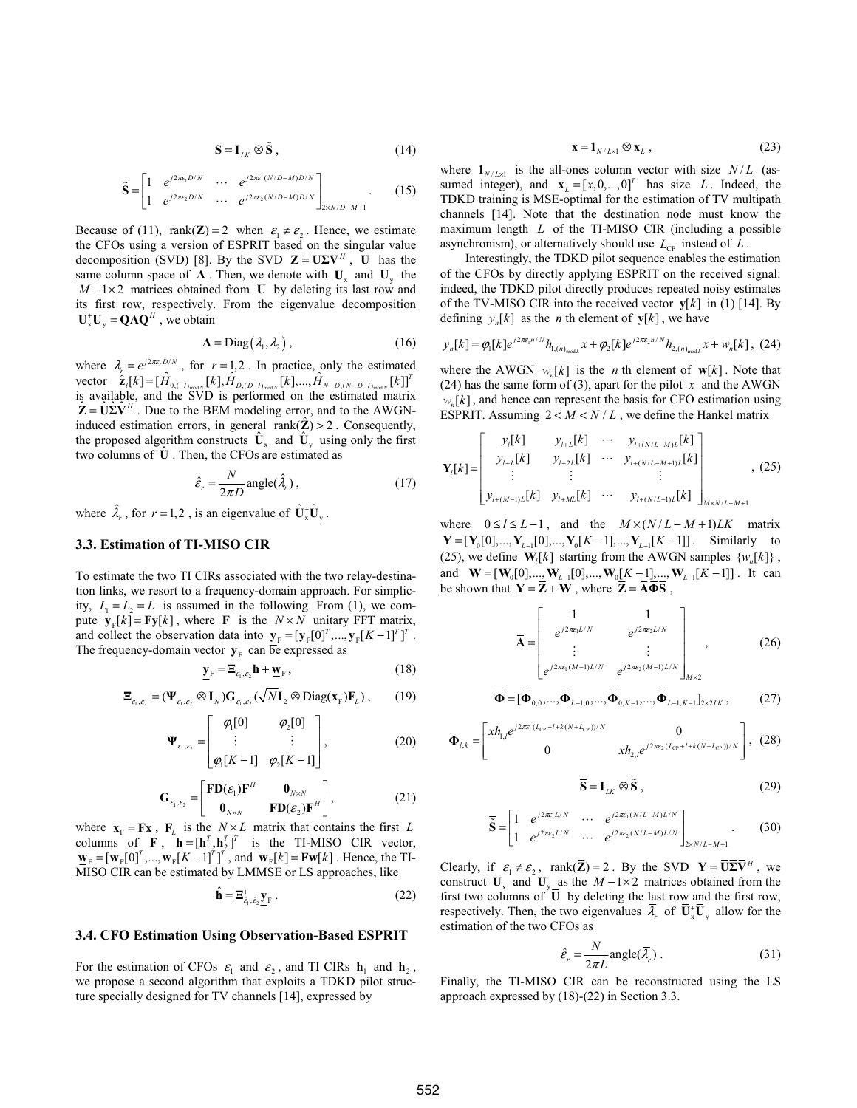$$
\mathbf{S} = \mathbf{I}_{LK} \otimes \tilde{\mathbf{S}} \,, \tag{14}
$$

$$
\tilde{\mathbf{S}} = \begin{bmatrix} 1 & e^{j2\pi\epsilon_1 D/N} & \cdots & e^{j2\pi\epsilon_1 (N/D - M)D/N} \\ 1 & e^{j2\pi\epsilon_2 D/N} & \cdots & e^{j2\pi\epsilon_2 (N/D - M)D/N} \end{bmatrix}_{2 \times N/D - M + 1} . \tag{15}
$$

Because of (11),  $rank(Z) = 2$  when  $\varepsilon_1 \neq \varepsilon_2$ . Hence, we estimate the CFOs using a version of ESPRIT based on the singular value decomposition (SVD) [8]. By the SVD  $\mathbf{Z} = \mathbf{U}\Sigma\mathbf{V}^H$ , **U** has the same column space of  $\bf{A}$ . Then, we denote with  $\bf{U}_y$  and  $\bf{U}_y$  the  $M-1\times2$  matrices obtained from **U** by deleting its last row and its first row, respectively. From the eigenvalue decomposition  $\mathbf{U}_{\mathbf{x}}^{\dagger} \mathbf{U}_{\mathbf{y}} = \mathbf{Q} \mathbf{\Lambda} \mathbf{Q}^H$ , we obtain

$$
\Lambda = \text{Diag}\left(\lambda_1, \lambda_2\right),\tag{16}
$$

where  $\lambda_r = e^{j2\pi\varepsilon_r D/N}$ , for  $r = 1, 2$ . In practice, only the estimated  $\text{vector} \quad \hat{\mathbf{z}}_{l}[k] = [\hat{H}_{0,(-l)_{\text{mod}N}}[k], \hat{H}_{D,(D-l)_{\text{mod}N}}[k], ..., \hat{H}_{N-D,(N-D-l)_{\text{mod}N}}[k]]^{T}$ is available, and the SVD is performed on the estimated matrix  $\hat{\mathbf{Z}} = \hat{\mathbf{U}} \hat{\mathbf{\Sigma}} \hat{\mathbf{V}}^H$ . Due to the BEM modeling error, and to the AWGNinduced estimation errors, in general  $rank(Z) > 2$ . Consequently, the proposed algorithm constructs  $\hat{\mathbf{U}}_x$  and  $\hat{\mathbf{U}}_y$  using only the first two columns of  $\hat{\mathbf{U}}$ . Then, the CFOs are estimated as

$$
\hat{\varepsilon}_r = \frac{N}{2\pi D} \text{angle}(\hat{\lambda}_r) , \qquad (17)
$$

where  $\hat{\lambda}_r$ , for  $r = 1, 2$ , is an eigenvalue of  $\hat{\mathbf{U}}_x^+ \hat{\mathbf{U}}_y$ .

# **3.3. Estimation of TI-MISO CIR**

To estimate the two TI CIRs associated with the two relay-destination links, we resort to a frequency-domain approach. For simplicity,  $L_1 = L_2 = L$  is assumed in the following. From (1), we compute  $y_F[k] = Fy[k]$ , where **F** is the  $N \times N$  unitary FFT matrix, and collect the observation data into  $\mathbf{y}_F = [\mathbf{y}_F [0]^T, ..., \mathbf{y}_F [K-1]^T]^T$ . The frequency-domain vector  $y_F$  can be expressed as

$$
\mathbf{y}_{\mathrm{F}} = \mathbf{\Xi}_{\varepsilon_{\mathrm{I}},\varepsilon_{\mathrm{2}}} \mathbf{h} + \mathbf{\underline{w}}_{\mathrm{F}} \,, \tag{18}
$$

$$
\Xi_{\varepsilon_1,\varepsilon_2} = (\Psi_{\varepsilon_1,\varepsilon_2} \otimes \mathbf{I}_N) \mathbf{G}_{\varepsilon_1,\varepsilon_2} (\sqrt{N} \mathbf{I}_2 \otimes \text{Diag}(\mathbf{x}_F) \mathbf{F}_L), \qquad (19)
$$

$$
\mathbf{\Psi}_{\varepsilon_1,\varepsilon_2} = \begin{bmatrix} \varphi_1[0] & \varphi_2[0] \\ \vdots & \vdots \\ \varphi_1[K-1] & \varphi_2[K-1] \end{bmatrix},
$$
 (20)

$$
\mathbf{G}_{\varepsilon_1,\varepsilon_2} = \begin{bmatrix} \mathbf{FD}(\varepsilon_1)\mathbf{F}^H & \mathbf{0}_{N \times N} \\ \mathbf{0}_{N \times N} & \mathbf{FD}(\varepsilon_2)\mathbf{F}^H \end{bmatrix},
$$
(21)

where  $\mathbf{x}_F = \mathbf{F}\mathbf{x}$ ,  $\mathbf{F}_L$  is the  $N \times L$  matrix that contains the first L columns of **F**,  $\mathbf{h} = [\mathbf{h}_1^T, \mathbf{h}_2^T]^T$  is the TI-MISO CIR vector,  $\mathbf{w}_{\text{F}} = [\mathbf{w}_{\text{F}}[0]^T, ..., \mathbf{w}_{\text{F}}[K-1]^T]^T$ , and  $\mathbf{w}_{\text{F}}[k] = \mathbf{Fw}[k]$ . Hence, the TI-MISO CIR can be estimated by LMMSE or LS approaches, like

$$
\hat{\mathbf{h}} = \mathbf{\Xi}_{\hat{\varepsilon}_1, \hat{\varepsilon}_2}^+ \mathbf{y}_F \,. \tag{22}
$$

#### **3.4. CFO Estimation Using Observation-Based ESPRIT**

For the estimation of CFOs  $\varepsilon_1$  and  $\varepsilon_2$ , and TI CIRs  $\mathbf{h}_1$  and  $\mathbf{h}_2$ , we propose a second algorithm that exploits a TDKD pilot structure specially designed for TV channels [14], expressed by

$$
\mathbf{x} = \mathbf{1}_{N/L \times 1} \otimes \mathbf{x}_L , \qquad (23)
$$

where  $\mathbf{1}_{N/L \times 1}$  is the all-ones column vector with size  $N/L$  (assumed integer), and  $\mathbf{x}_L = [x, 0, ..., 0]^T$  has size *L*. Indeed, the TDKD training is MSE-optimal for the estimation of TV multipath channels [14]. Note that the destination node must know the maximum length *L* of the TI-MISO CIR (including a possible asynchronism), or alternatively should use  $L_{\text{CP}}$  instead of  $L$ .

Interestingly, the TDKD pilot sequence enables the estimation of the CFOs by directly applying ESPRIT on the received signal: indeed, the TDKD pilot directly produces repeated noisy estimates of the TV-MISO CIR into the received vector  $y[k]$  in (1) [14]. By defining  $y_n[k]$  as the *n* th element of  $y[k]$ , we have

$$
y_n[k] = \varphi_l[k] e^{j2\pi\varepsilon_1 n/N} h_{1,(n)_{\text{mod}L}} x + \varphi_2[k] e^{j2\pi\varepsilon_2 n/N} h_{2,(n)_{\text{mod}L}} x + w_n[k], (24)
$$

where the AWGN  $w_n[k]$  is the *n* th element of **w**[k]. Note that (24) has the same form of (3), apart for the pilot *x* and the AWGN  $w<sub>n</sub>[k]$ , and hence can represent the basis for CFO estimation using ESPRIT. Assuming  $2 < M < N/L$ , we define the Hankel matrix

$$
\mathbf{Y}_{l}[k] = \begin{bmatrix} y_{l}[k] & y_{l+L}[k] & \cdots & y_{l+(N/L-M)L}[k] \\ y_{l+L}[k] & y_{l+2L}[k] & \cdots & y_{l+(N/L-M+1)L}[k] \\ \vdots & \vdots & & \vdots \\ y_{l+(M-1)L}[k] & y_{l+ML}[k] & \cdots & y_{l+(N/L-1)L}[k] \end{bmatrix}_{M \times N/L-M+1}, (25)
$$

where  $0 \le l \le L-1$ , and the  $M \times (N/L - M + 1)LK$  matrix  $\mathbf{Y} = [\mathbf{Y}_{0}[0],...,\mathbf{Y}_{L-1}[0],...,\mathbf{Y}_{0}[K-1],...,\mathbf{Y}_{L-1}[K-1]]$ . Similarly to (25), we define  $\mathbf{W}_{i}[k]$  starting from the AWGN samples  $\{w_{n}[k]\}\,$ , and  $\mathbf{W} = [\mathbf{W}_{0}[0],...,\mathbf{W}_{L-1}[0],...,\mathbf{W}_{0}[K-1],...,\mathbf{W}_{L-1}[K-1]]$ . It can be shown that  $Y = \overline{Z} + W$ , where  $\overline{Z} = \overline{A} \overline{\Phi} \overline{S}$ ,

$$
\overline{\mathbf{A}} = \begin{bmatrix} 1 & 1 \\ e^{j2\pi\varepsilon_1 L/N} & e^{j2\pi\varepsilon_2 L/N} \\ \vdots & \vdots \\ e^{j2\pi\varepsilon_1 (M-1)L/N} & e^{j2\pi\varepsilon_2 (M-1)L/N} \end{bmatrix}_{M \times 2},
$$
 (26)

$$
\overline{\mathbf{\Phi}} = [\overline{\mathbf{\Phi}}_{0,0},...,\overline{\mathbf{\Phi}}_{L-1,0},...,\overline{\mathbf{\Phi}}_{0,K-1},...,\overline{\mathbf{\Phi}}_{L-1,K-1}]_{2 \times 2LK},
$$
 (27)

$$
\overline{\Phi}_{l,k} = \begin{bmatrix} xh_{1,l}e^{j2\pi\varepsilon_1(L_{\text{CP}} + l + k(N + L_{\text{CP}}))/N} & 0\\ 0 & xh_{2,l}e^{j2\pi\varepsilon_2(L_{\text{CP}} + l + k(N + L_{\text{CP}}))/N} \end{bmatrix},\tag{28}
$$

$$
\overline{\mathbf{S}} = \mathbf{I}_{LK} \otimes \overline{\mathbf{S}} \,, \tag{29}
$$

$$
\overline{\tilde{S}} = \begin{bmatrix} 1 & e^{j2\pi\varepsilon_1 L/N} & \cdots & e^{j2\pi\varepsilon_1 (N/L - M)L/N} \\ 1 & e^{j2\pi\varepsilon_2 L/N} & \cdots & e^{j2\pi\varepsilon_2 (N/L - M)L/N} \end{bmatrix}_{2 \times N/L - M + 1} . \tag{30}
$$

Clearly, if  $\varepsilon_1 \neq \varepsilon_2$ , rank( $\overline{Z}$ ) = 2. By the SVD  $Y = \overline{U} \overline{\Sigma} \overline{V}^H$ , we construct  $\mathbf{U}_x$  and  $\mathbf{U}_y$  as the  $M - 1 \times 2$  matrices obtained from the first two columns of **U** by deleting the last row and the first row, respectively. Then, the two eigenvalues  $\overline{\lambda}_r$  of  $\overline{\mathbf{U}}_{x}^{\dagger} \overline{\mathbf{U}}_{y}$  allow for the estimation of the two CFOs as

$$
\hat{\varepsilon}_r = \frac{N}{2\pi L} \text{angle}(\overline{\lambda}_r) \,. \tag{31}
$$

Finally, the TI-MISO CIR can be reconstructed using the LS approach expressed by (18)-(22) in Section 3.3.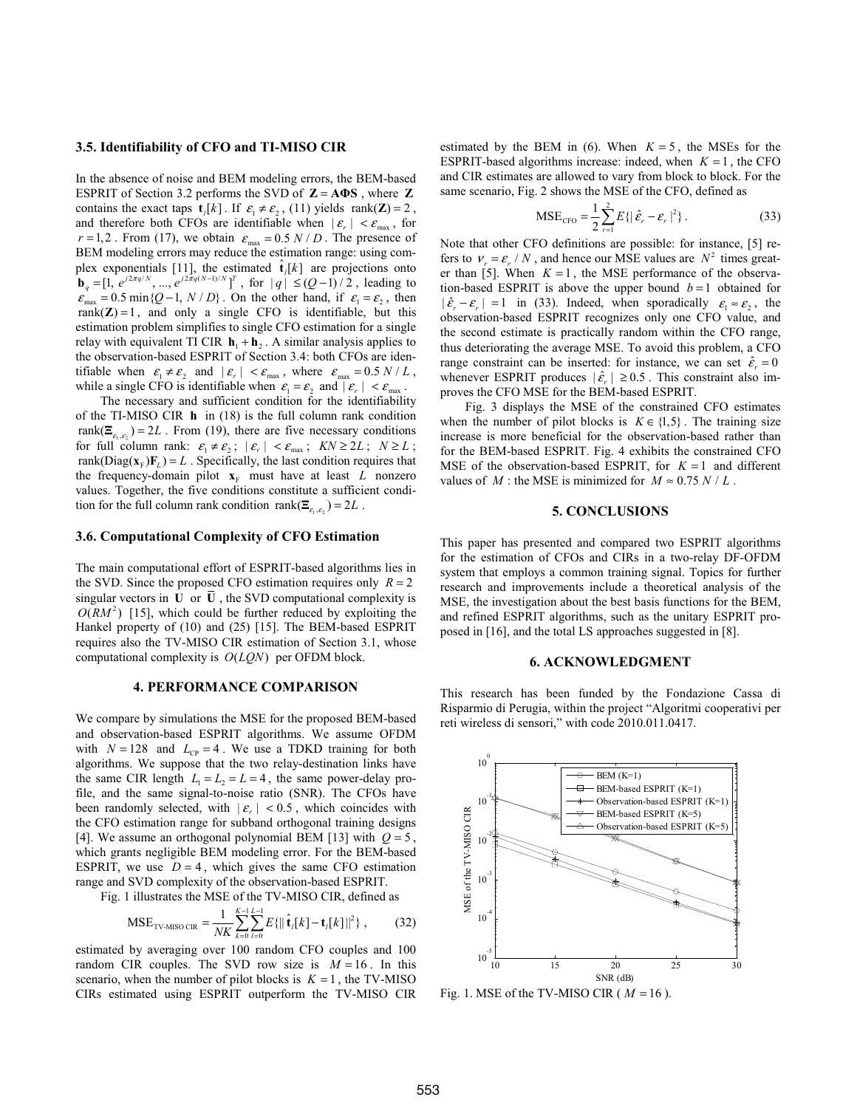# **3.5. Identifiability of CFO and TI-MISO CIR**

In the absence of noise and BEM modeling errors, the BEM-based ESPRIT of Section 3.2 performs the SVD of  $Z = A\Phi S$ , where Z contains the exact taps  $t_i[k]$ . If  $\varepsilon_1 \neq \varepsilon_2$ , (11) yields rank(**Z**) = 2, and therefore both CFOs are identifiable when  $|\varepsilon_r| < \varepsilon_{\text{max}}$ , for  $r = 1,2$ . From (17), we obtain  $\varepsilon_{\text{max}} = 0.5 N / D$ . The presence of BEM modeling errors may reduce the estimation range: using complex exponentials [11], the estimated  $\hat{\mathbf{t}}_i[k]$  are projections onto **, for**  $|q| \leq (Q-1)/2$ **, leading to**  $\varepsilon_{\text{max}} = 0.5 \min\{Q-1, N/D\}$ . On the other hand, if  $\varepsilon_1 = \varepsilon_2$ , then rank $(\mathbb{Z}) = 1$ , and only a single CFO is identifiable, but this estimation problem simplifies to single CFO estimation for a single relay with equivalent TI CIR  $\mathbf{h}_1 + \mathbf{h}_2$ . A similar analysis applies to the observation-based ESPRIT of Section 3.4: both CFOs are identifiable when  $\varepsilon_1 \neq \varepsilon_2$  and  $|\varepsilon_r| < \varepsilon_{\text{max}}$ , where  $\varepsilon_{\text{max}} = 0.5 N / L$ , while a single CFO is identifiable when  $\varepsilon_1 = \varepsilon_2$  and  $|\varepsilon_r| < \varepsilon_{\text{max}}$ .

The necessary and sufficient condition for the identifiability of the TI-MISO CIR **h** in (18) is the full column rank condition  $rank(\Xi_{\varepsilon_{1},\varepsilon_{2}}) = 2L$ . From (19), there are five necessary conditions for full column rank:  $\varepsilon_1 \neq \varepsilon_2$ ;  $|\varepsilon_r| < \varepsilon_{\text{max}}$ ;  $KN \geq 2L$ ;  $N \geq L$ ; rank( $Diag$ ( $\mathbf{x}_F$ ) $\mathbf{F}_L$ ) = L. Specifically, the last condition requires that the frequency-domain pilot  $\mathbf{x}_F$  must have at least *L* nonzero values. Together, the five conditions constitute a sufficient condition for the full column rank condition  $rank(\Xi_{\varepsilon,\varepsilon}) = 2L$ .

## **3.6. Computational Complexity of CFO Estimation**

The main computational effort of ESPRIT-based algorithms lies in the SVD. Since the proposed CFO estimation requires only  $R = 2$ singular vectors in **U** or  $\overline{U}$ , the SVD computational complexity is  $O(RM^2)$  [15], which could be further reduced by exploiting the Hankel property of (10) and (25) [15]. The BEM-based ESPRIT requires also the TV-MISO CIR estimation of Section 3.1, whose computational complexity is  $O(LON)$  per OFDM block.

#### **4. PERFORMANCE COMPARISON**

We compare by simulations the MSE for the proposed BEM-based and observation-based ESPRIT algorithms. We assume OFDM with  $N = 128$  and  $L_{CP} = 4$ . We use a TDKD training for both algorithms. We suppose that the two relay-destination links have the same CIR length  $L_1 = L_2 = L = 4$ , the same power-delay profile, and the same signal-to-noise ratio (SNR). The CFOs have been randomly selected, with  $|\varepsilon_r| < 0.5$ , which coincides with the CFO estimation range for subband orthogonal training designs [4]. We assume an orthogonal polynomial BEM [13] with  $Q = 5$ , which grants negligible BEM modeling error. For the BEM-based ESPRIT, we use  $D = 4$ , which gives the same CFO estimation range and SVD complexity of the observation-based ESPRIT.

Fig. 1 illustrates the MSE of the TV-MISO CIR, defined as

$$
\text{MSE}_{\text{TV-MISO CIR}} = \frac{1}{NK} \sum_{k=0}^{K-1} \sum_{l=0}^{L-1} E\{ ||\hat{\mathbf{t}}_l[k] - \mathbf{t}_l[k] ||^2 \}, \tag{32}
$$

estimated by averaging over 100 random CFO couples and 100 random CIR couples. The SVD row size is  $M = 16$ . In this scenario, when the number of pilot blocks is  $K = 1$ , the TV-MISO CIRs estimated using ESPRIT outperform the TV-MISO CIR estimated by the BEM in (6). When  $K = 5$ , the MSEs for the ESPRIT-based algorithms increase: indeed, when  $K = 1$ , the CFO and CIR estimates are allowed to vary from block to block. For the same scenario, Fig. 2 shows the MSE of the CFO, defined as

$$
MSE_{\text{CFO}} = \frac{1}{2} \sum_{r=1}^{2} E\{|\hat{\varepsilon}_r - \varepsilon_r|^2\}.
$$
 (33)

Note that other CFO definitions are possible: for instance, [5] refers to  $v = \varepsilon / N$ , and hence our MSE values are  $N^2$  times greater than [5]. When  $K = 1$ , the MSE performance of the observation-based ESPRIT is above the upper bound  $b = 1$  obtained for  $|\hat{\epsilon}_r - \epsilon_r| = 1$  in (33). Indeed, when sporadically  $\epsilon_1 \approx \epsilon_2$ , the observation-based ESPRIT recognizes only one CFO value, and the second estimate is practically random within the CFO range, thus deteriorating the average MSE. To avoid this problem, a CFO range constraint can be inserted: for instance, we can set  $\hat{\varepsilon}_r = 0$ whenever ESPRIT produces  $|\hat{\epsilon}_r| \ge 0.5$ . This constraint also improves the CFO MSE for the BEM-based ESPRIT.

Fig. 3 displays the MSE of the constrained CFO estimates when the number of pilot blocks is  $K \in \{1,5\}$ . The training size increase is more beneficial for the observation-based rather than for the BEM-based ESPRIT. Fig. 4 exhibits the constrained CFO MSE of the observation-based ESPRIT, for  $K = 1$  and different values of *M* : the MSE is minimized for  $M \approx 0.75 N / L$ .

## **5. CONCLUSIONS**

This paper has presented and compared two ESPRIT algorithms for the estimation of CFOs and CIRs in a two-relay DF-OFDM system that employs a common training signal. Topics for further research and improvements include a theoretical analysis of the MSE, the investigation about the best basis functions for the BEM, and refined ESPRIT algorithms, such as the unitary ESPRIT proposed in [16], and the total LS approaches suggested in [8].

# **6. ACKNOWLEDGMENT**

This research has been funded by the Fondazione Cassa di Risparmio di Perugia, within the project "Algoritmi cooperativi per reti wireless di sensori," with code 2010.011.0417.



Fig. 1. MSE of the TV-MISO CIR ( $M = 16$ ).